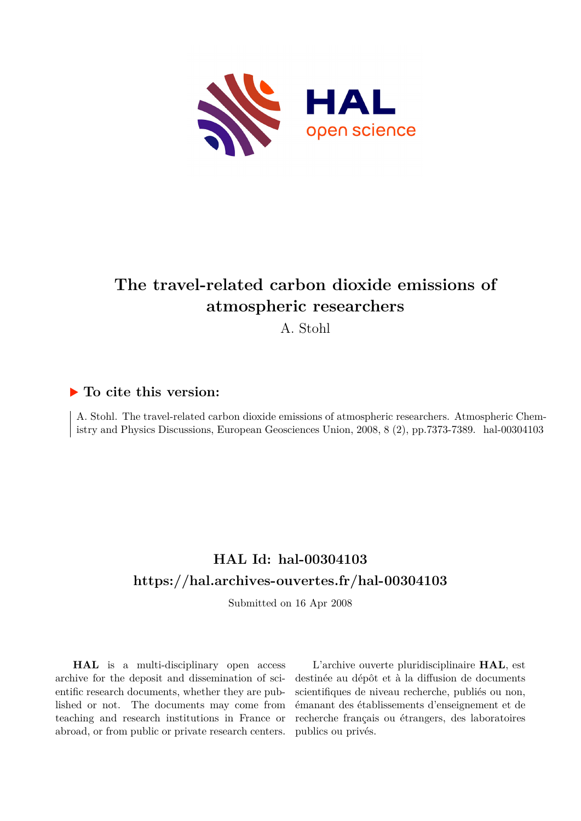

## **The travel-related carbon dioxide emissions of atmospheric researchers**

A. Stohl

## **To cite this version:**

A. Stohl. The travel-related carbon dioxide emissions of atmospheric researchers. Atmospheric Chemistry and Physics Discussions, European Geosciences Union, 2008, 8 (2), pp.7373-7389. hal-00304103

## **HAL Id: hal-00304103 <https://hal.archives-ouvertes.fr/hal-00304103>**

Submitted on 16 Apr 2008

**HAL** is a multi-disciplinary open access archive for the deposit and dissemination of scientific research documents, whether they are published or not. The documents may come from teaching and research institutions in France or abroad, or from public or private research centers.

L'archive ouverte pluridisciplinaire **HAL**, est destinée au dépôt et à la diffusion de documents scientifiques de niveau recherche, publiés ou non, émanant des établissements d'enseignement et de recherche français ou étrangers, des laboratoires publics ou privés.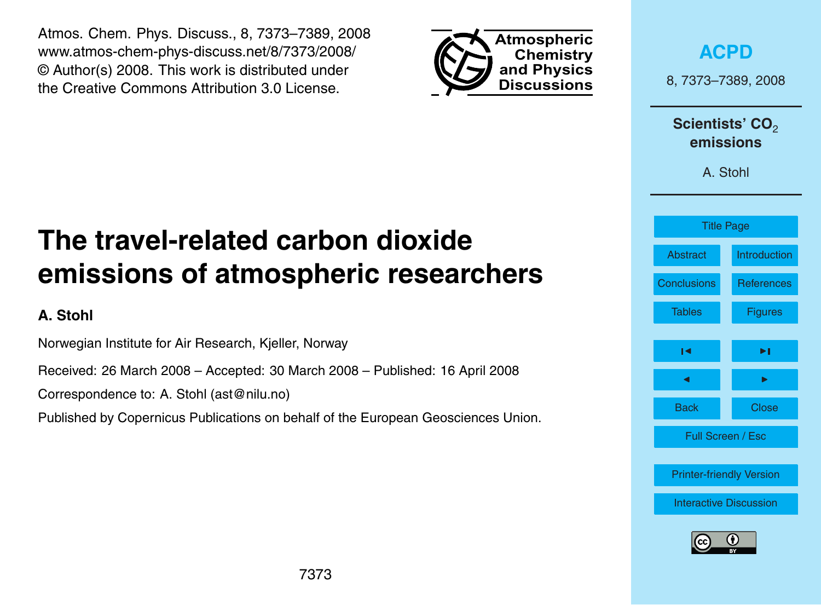<span id="page-1-0"></span>Atmos. Chem. Phys. Discuss., 8, 7373–7389, 2008 www.atmos-chem-phys-discuss.net/8/7373/2008/ © Author(s) 2008. This work is distributed under the Creative Commons Attribution 3.0 License.



**[ACPD](http://www.atmos-chem-phys-discuss.net)**

8, 7373–7389, 2008

Scientists' CO<sub>2</sub> **emissions**

A. Stohl

## Title Page [Abstract](#page-2-0) [Introduction](#page-2-0) [Conclusions](#page-9-0) [References](#page-10-0) [Tables](#page-12-0) [Figures](#page-17-0) ◭ [◮](#page-17-0) ◭ [◮](#page-2-0) Back Close Full Screen / Esc [Printer-friendly Version](http://www.atmos-chem-phys-discuss.net/8/7373/2008/acpd-8-7373-2008-print.pdf) [Interactive Discussion](http://www.atmos-chem-phys-discuss.net/8/7373/2008/acpd-8-7373-2008-discussion.html)

# **The travel-related carbon dioxide emissions of atmospheric researchers**

**A. Stohl**

Norwegian Institute for Air Research, Kjeller, Norway

Received: 26 March 2008 – Accepted: 30 March 2008 – Published: 16 April 2008

Correspondence to: A. Stohl (ast@nilu.no)

Published by Copernicus Publications on behalf of the European Geosciences Union.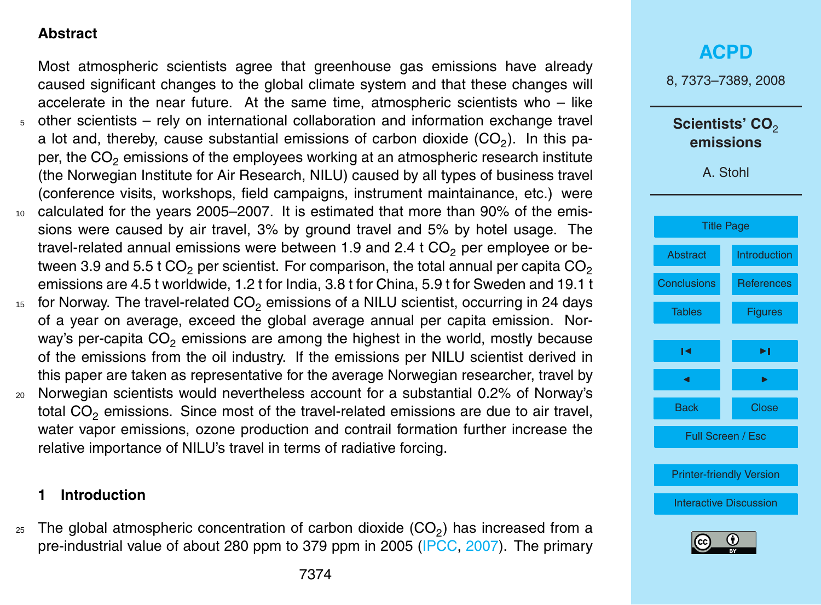### <span id="page-2-0"></span>**Abstract**

Most atmospheric scientists agree that greenhouse gas emissions have already caused significant changes to the global climate system and that these changes will accelerate in the near future. At the same time, atmospheric scientists who  $-$  like <sup>5</sup> other scientists – rely on international collaboration and information exchange travel a lot and, thereby, cause substantial emissions of carbon dioxide  $(\mathsf{CO}_{2})$ . In this paper, the CO<sub>2</sub> emissions of the employees working at an atmospheric research institute (the Norwegian Institute for Air Research, NILU) caused by all types of business travel (conference visits, workshops, field campaigns, instrument maintainance, etc.) were <sup>10</sup> calculated for the years 2005–2007. It is estimated that more than 90% of the emissions were caused by air travel, 3% by ground travel and 5% by hotel usage. The travel-related annual emissions were between 1.9 and 2.4 t  $CO<sub>2</sub>$  per employee or between 3.9 and 5.5 t CO<sub>2</sub> per scientist. For comparison, the total annual per capita CO<sub>2</sub> emissions are 4.5 t worldwide, 1.2 t for India, 3.8 t for China, 5.9 t for Sweden and 19.1 t

- $15$  for Norway. The travel-related CO<sub>2</sub> emissions of a NILU scientist, occurring in 24 days of a year on average, exceed the global average annual per capita emission. Norway's per-capita  $CO<sub>2</sub>$  emissions are among the highest in the world, mostly because of the emissions from the oil industry. If the emissions per NILU scientist derived in this paper are taken as representative for the average Norwegian researcher, travel by
- <sup>20</sup> Norwegian scientists would nevertheless account for a substantial 0.2% of Norway's total  $CO<sub>2</sub>$  emissions. Since most of the travel-related emissions are due to air travel, water vapor emissions, ozone production and contrail formation further increase the relative importance of NILU's travel in terms of radiative forcing.

#### **1 Introduction**

 $_{25}$  The global atmospheric concentration of carbon dioxide (CO<sub>2</sub>) has increased from a pre-industrial value of about 280 ppm to 379 ppm in 2005 [\(IPCC,](#page-10-0) [2007\)](#page-10-0). The primary



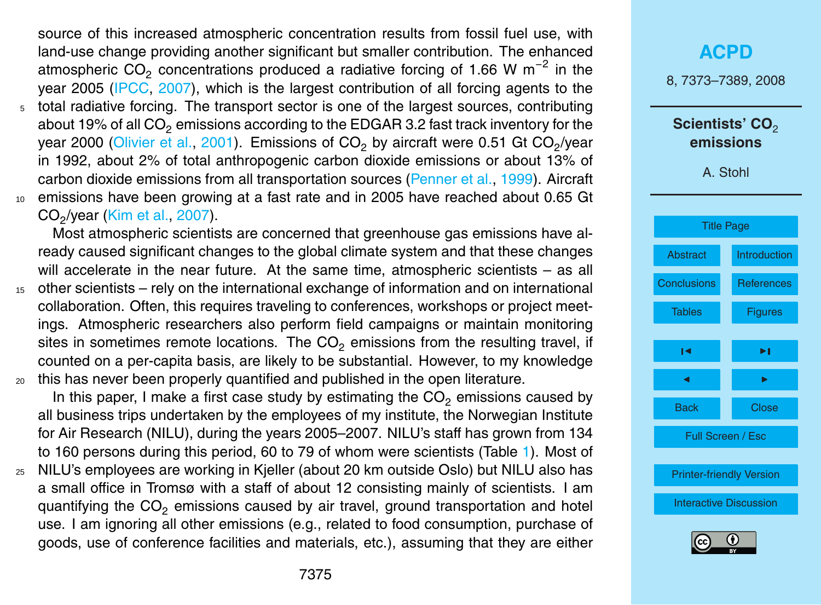<span id="page-3-0"></span>source of this increased atmospheric concentration results from fossil fuel use, with land-use change providing another significant but smaller contribution. The enhanced atmospheric  $CO<sub>2</sub>$  concentrations produced a radiative forcing of 1.66 W m<sup>-2</sup> in the year 2005 [\(IPCC,](#page-10-0) [2007\)](#page-10-0), which is the largest contribution of all forcing agents to the <sup>5</sup> total radiative forcing. The transport sector is one of the largest sources, contributing about 19% of all  $CO<sub>2</sub>$  emissions according to the EDGAR 3.2 fast track inventory for the year 2000 [\(Olivier et al.,](#page-11-0) [2001\)](#page-11-0). Emissions of CO<sub>2</sub> by aircraft were 0.51 Gt CO<sub>2</sub>/year in 1992, about 2% of total anthropogenic carbon dioxide emissions or about 13% of carbon dioxide emissions from all transportation sources [\(Penner et al.,](#page-11-0) [1999\)](#page-11-0). Aircraft <sup>10</sup> emissions have been growing at a fast rate and in 2005 have reached about 0.65 Gt CO<sup>2</sup> /year [\(Kim et al.,](#page-10-0) [2007\)](#page-10-0).

Most atmospheric scientists are concerned that greenhouse gas emissions have already caused significant changes to the global climate system and that these changes will accelerate in the near future. At the same time, atmospheric scientists – as all

<sup>15</sup> other scientists – rely on the international exchange of information and on international collaboration. Often, this requires traveling to conferences, workshops or project meetings. Atmospheric researchers also perform field campaigns or maintain monitoring sites in sometimes remote locations. The  $CO<sub>2</sub>$  emissions from the resulting travel, if counted on a per-capita basis, are likely to be substantial. However, to my knowledge <sup>20</sup> this has never been properly quantified and published in the open literature.

In this paper, I make a first case study by estimating the  $CO<sub>2</sub>$  emissions caused by all business trips undertaken by the employees of my institute, the Norwegian Institute for Air Research (NILU), during the years 2005–2007. NILU's staff has grown from 134 to 160 persons during this period, 60 to 79 of whom were scientists (Table [1\)](#page-12-0). Most of

<sup>25</sup> NILU's employees are working in Kjeller (about 20 km outside Oslo) but NILU also has a small office in Tromsø with a staff of about 12 consisting mainly of scientists. I am quantifying the  $CO<sub>2</sub>$  emissions caused by air travel, ground transportation and hotel use. I am ignoring all other emissions (e.g., related to food consumption, purchase of goods, use of conference facilities and materials, etc.), assuming that they are either

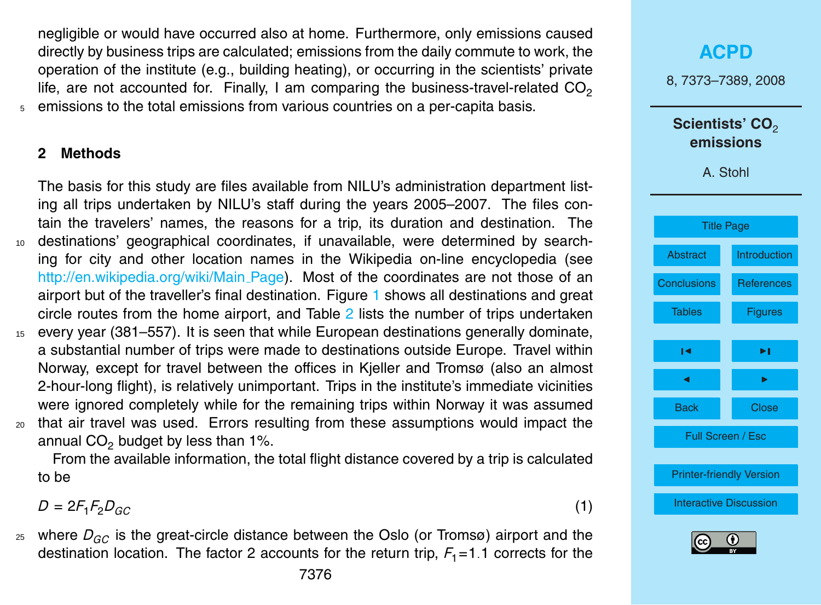<span id="page-4-0"></span>negligible or would have occurred also at home. Furthermore, only emissions caused directly by business trips are calculated; emissions from the daily commute to work, the operation of the institute (e.g., building heating), or occurring in the scientists' private life, are not accounted for. Finally, I am comparing the business-travel-related  $CO<sub>2</sub>$ <sup>5</sup> emissions to the total emissions from various countries on a per-capita basis.

#### **2 Methods**

The basis for this study are files available from NILU's administration department listing all trips undertaken by NILU's staff during the years 2005–2007. The files contain the travelers' names, the reasons for a trip, its duration and destination. The <sup>10</sup> destinations' geographical coordinates, if unavailable, were determined by searching for city and other location names in the Wikipedia on-line encyclopedia (see [http://en.wikipedia.org/wiki/Main](http://en.wikipedia.org/wiki/Main_Page)\_Page). Most of the coordinates are not those of an airport but of the traveller's final destination. Figure [1](#page-17-0) shows all destinations and great circle routes from the home airport, and Table [2](#page-13-0) lists the number of trips undertaken <sup>15</sup> every year (381–557). It is seen that while European destinations generally dominate, a substantial number of trips were made to destinations outside Europe. Travel within Norway, except for travel between the offices in Kjeller and Tromsø (also an almost 2-hour-long flight), is relatively unimportant. Trips in the institute's immediate vicinities were ignored completely while for the remaining trips within Norway it was assumed <sup>20</sup> that air travel was used. Errors resulting from these assumptions would impact the annual  $CO<sub>2</sub>$  budget by less than 1%.

From the available information, the total flight distance covered by a trip is calculated to be

 $D = 2F_1F_2D_{GC}$  (1)

<sup>25</sup> where *DGC* is the great-circle distance between the Oslo (or Tromsø) airport and the destination location. The factor 2 accounts for the return trip,  $F_1 = 1.1$  corrects for the



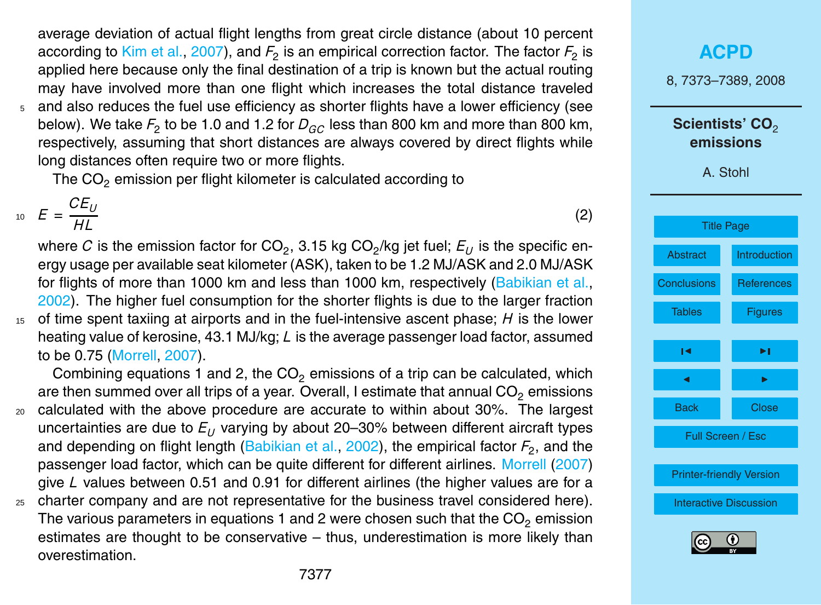<span id="page-5-0"></span>average deviation of actual flight lengths from great circle distance (about 10 percent according to [Kim et al.,](#page-10-0) [2007\)](#page-10-0), and  $F_2$  is an empirical correction factor. The factor  $F_2$  is applied here because only the final destination of a trip is known but the actual routing may have involved more than one flight which increases the total distance traveled <sup>5</sup> and also reduces the fuel use efficiency as shorter flights have a lower efficiency (see

below). We take  $F_2$  to be 1.0 and 1.2 for  $D_{GC}$  less than 800 km and more than 800 km, respectively, assuming that short distances are always covered by direct flights while long distances often require two or more flights.

The  $CO<sub>2</sub>$  emission per flight kilometer is calculated according to

 $E = \frac{CE_U}{U}$  $E = \frac{E}{HL}$  (2)

where  $C$  is the emission factor for CO<sub>2</sub>, 3.15 kg CO<sub>2</sub>/kg jet fuel;  $E_U$  is the specific energy usage per available seat kilometer (ASK), taken to be 1.2 MJ/ASK and 2.0 MJ/ASK for flights of more than 1000 km and less than 1000 km, respectively [\(Babikian et al.,](#page-10-0) [2002\)](#page-10-0). The higher fuel consumption for the shorter flights is due to the larger fraction <sup>15</sup> of time spent taxiing at airports and in the fuel-intensive ascent phase; *H* is the lower heating value of kerosine, 43.1 MJ/kg; *L* is the average passenger load factor, assumed

to be 0.75 [\(Morrell,](#page-11-0) [2007\)](#page-11-0).

Combining equations 1 and 2, the  $CO<sub>2</sub>$  emissions of a trip can be calculated, which are then summed over all trips of a year. Overall, I estimate that annual  $CO<sub>2</sub>$  emissions

- <sup>20</sup> calculated with the above procedure are accurate to within about 30%. The largest uncertainties are due to  $E_U$  varying by about 20–30% between different aircraft types and depending on flight length [\(Babikian et al.,](#page-10-0) [2002\)](#page-10-0), the empirical factor  $F_2$ , and the passenger load factor, which can be quite different for different airlines. [Morrell](#page-11-0) [\(2007\)](#page-11-0) give *L* values between 0.51 and 0.91 for different airlines (the higher values are for a
- $25$  charter company and are not representative for the business travel considered here). The various parameters in equations 1 and 2 were chosen such that the  $CO<sub>2</sub>$  emission estimates are thought to be conservative – thus, underestimation is more likely than overestimation.

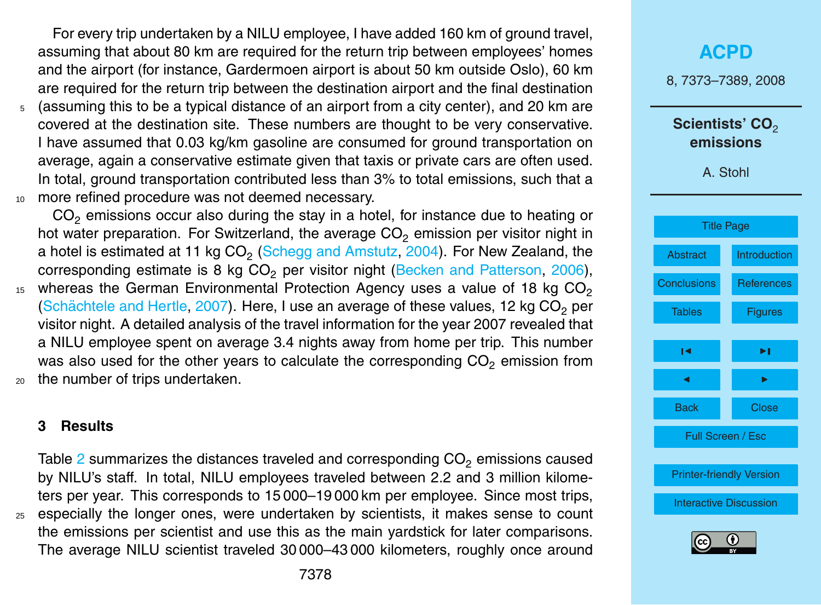<span id="page-6-0"></span>For every trip undertaken by a NILU employee, I have added 160 km of ground travel, assuming that about 80 km are required for the return trip between employees' homes and the airport (for instance, Gardermoen airport is about 50 km outside Oslo), 60 km are required for the return trip between the destination airport and the final destination <sup>5</sup> (assuming this to be a typical distance of an airport from a city center), and 20 km are covered at the destination site. These numbers are thought to be very conservative. I have assumed that 0.03 kg/km gasoline are consumed for ground transportation on average, again a conservative estimate given that taxis or private cars are often used. In total, ground transportation contributed less than 3% to total emissions, such that a 10 more refined procedure was not deemed necessary.

 $CO<sub>2</sub>$  emissions occur also during the stay in a hotel, for instance due to heating or hot water preparation. For Switzerland, the average  $CO<sub>2</sub>$  emission per visitor night in a hotel is estimated at 11 kg CO $_{\rm 2}$  [\(Schegg and Amstutz,](#page-11-0) [2004\)](#page-11-0). For New Zealand, the corresponding estimate is  $8 \text{ kg CO}_2$  per visitor night [\(Becken and Patterson,](#page-10-0) [2006\)](#page-10-0), whereas the German Environmental Protection Agency uses a value of 18 kg  $CO<sub>2</sub>$ 15 (Schächtele and Hertle, [2007\)](#page-11-0). Here, I use an average of these values, 12 kg  $CO<sub>2</sub>$  per visitor night. A detailed analysis of the travel information for the year 2007 revealed that a NILU employee spent on average 3.4 nights away from home per trip. This number was also used for the other years to calculate the corresponding  $CO<sub>2</sub>$  emission from <sup>20</sup> the number of trips undertaken.

#### **3 Results**

Table  $2$  summarizes the distances traveled and corresponding  $CO<sub>2</sub>$  emissions caused by NILU's staff. In total, NILU employees traveled between 2.2 and 3 million kilometers per year. This corresponds to 15 000–19 000 km per employee. Since most trips, <sup>25</sup> especially the longer ones, were undertaken by scientists, it makes sense to count the emissions per scientist and use this as the main yardstick for later comparisons. The average NILU scientist traveled 30 000–43 000 kilometers, roughly once around

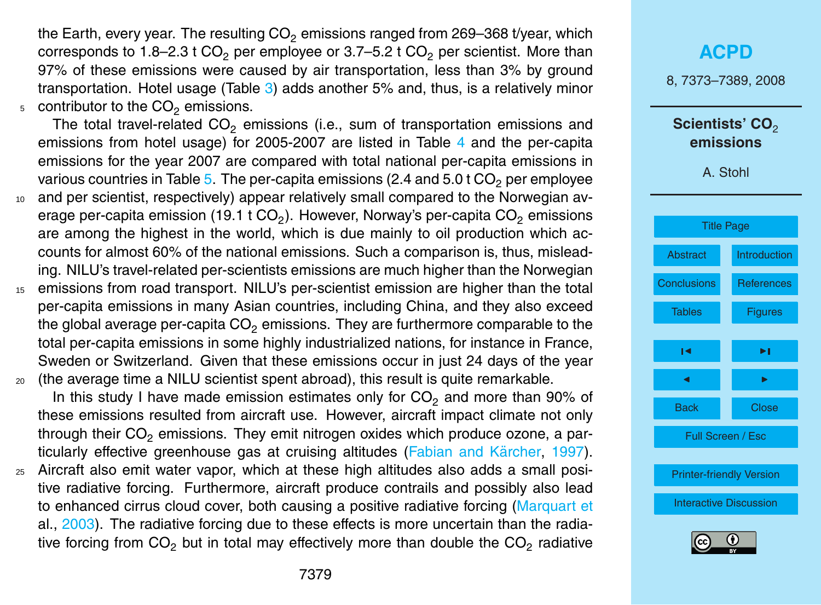<span id="page-7-0"></span>the Earth, every year. The resulting  $CO<sub>2</sub>$  emissions ranged from 269–368 t/year, which corresponds to 1.8–2.3 t  $CO<sub>2</sub>$  per employee or 3.7–5.2 t  $CO<sub>2</sub>$  per scientist. More than 97% of these emissions were caused by air transportation, less than 3% by ground transportation. Hotel usage (Table [3\)](#page-14-0) adds another 5% and, thus, is a relatively minor  $5$  contributor to the  $CO<sub>2</sub>$  emissions.

The total travel-related  $CO<sub>2</sub>$  emissions (i.e., sum of transportation emissions and emissions from hotel usage) for 2005-2007 are listed in Table [4](#page-15-0) and the per-capita emissions for the year 2007 are compared with total national per-capita emissions in various countries in Table [5.](#page-16-0) The per-capita emissions (2.4 and  $5.0$  t CO<sub>2</sub> per employee <sup>10</sup> and per scientist, respectively) appear relatively small compared to the Norwegian average per-capita emission (19.1 t CO<sub>2</sub>). However, Norway's per-capita CO<sub>2</sub> emissions

are among the highest in the world, which is due mainly to oil production which accounts for almost 60% of the national emissions. Such a comparison is, thus, misleading. NILU's travel-related per-scientists emissions are much higher than the Norwegian

<sup>15</sup> emissions from road transport. NILU's per-scientist emission are higher than the total per-capita emissions in many Asian countries, including China, and they also exceed the global average per-capita  $CO<sub>2</sub>$  emissions. They are furthermore comparable to the total per-capita emissions in some highly industrialized nations, for instance in France, Sweden or Switzerland. Given that these emissions occur in just 24 days of the year <sup>20</sup> (the average time a NILU scientist spent abroad), this result is quite remarkable.

In this study I have made emission estimates only for  $CO<sub>2</sub>$  and more than 90% of these emissions resulted from aircraft use. However, aircraft impact climate not only through their  $CO<sub>2</sub>$  emissions. They emit nitrogen oxides which produce ozone, a par-ticularly effective greenhouse gas at cruising altitudes (Fabian and Kärcher, [1997\)](#page-10-0).

<sup>25</sup> Aircraft also emit water vapor, which at these high altitudes also adds a small positive radiative forcing. Furthermore, aircraft produce contrails and possibly also lead [t](#page-11-0)o enhanced cirrus cloud cover, both causing a positive radiative forcing [\(Marquart et](#page-11-0) [al.,](#page-11-0) [2003\)](#page-11-0). The radiative forcing due to these effects is more uncertain than the radiative forcing from CO<sub>2</sub> but in total may effectively more than double the CO<sub>2</sub> radiative

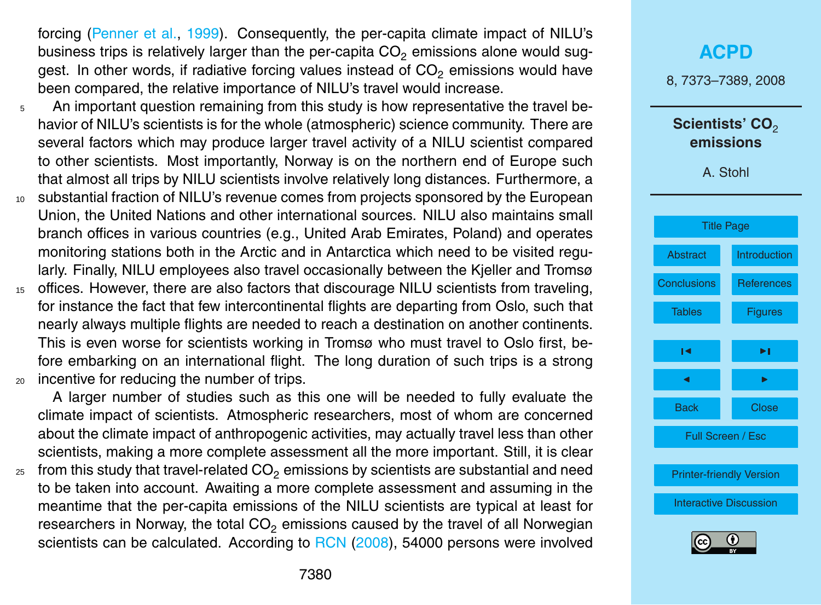<span id="page-8-0"></span>forcing [\(Penner et al.,](#page-11-0) [1999\)](#page-11-0). Consequently, the per-capita climate impact of NILU's business trips is relatively larger than the per-capita  $CO<sub>2</sub>$  emissions alone would suggest. In other words, if radiative forcing values instead of  $CO<sub>2</sub>$  emissions would have been compared, the relative importance of NILU's travel would increase.

- $5$  An important question remaining from this study is how representative the travel behavior of NILU's scientists is for the whole (atmospheric) science community. There are several factors which may produce larger travel activity of a NILU scientist compared to other scientists. Most importantly, Norway is on the northern end of Europe such that almost all trips by NILU scientists involve relatively long distances. Furthermore, a
- <sup>10</sup> substantial fraction of NILU's revenue comes from projects sponsored by the European Union, the United Nations and other international sources. NILU also maintains small branch offices in various countries (e.g., United Arab Emirates, Poland) and operates monitoring stations both in the Arctic and in Antarctica which need to be visited regularly. Finally, NILU employees also travel occasionally between the Kjeller and Tromsø
- <sup>15</sup> offices. However, there are also factors that discourage NILU scientists from traveling, for instance the fact that few intercontinental flights are departing from Oslo, such that nearly always multiple flights are needed to reach a destination on another continents. This is even worse for scientists working in Tromsø who must travel to Oslo first, before embarking on an international flight. The long duration of such trips is a strong <sup>20</sup> incentive for reducing the number of trips.

A larger number of studies such as this one will be needed to fully evaluate the climate impact of scientists. Atmospheric researchers, most of whom are concerned about the climate impact of anthropogenic activities, may actually travel less than other scientists, making a more complete assessment all the more important. Still, it is clear

 $25$  from this study that travel-related CO<sub>2</sub> emissions by scientists are substantial and need to be taken into account. Awaiting a more complete assessment and assuming in the meantime that the per-capita emissions of the NILU scientists are typical at least for researchers in Norway, the total  $CO<sub>2</sub>$  emissions caused by the travel of all Norwegian scientists can be calculated. According to [RCN](#page-11-0) [\(2008\)](#page-11-0), 54000 persons were involved

# **[ACPD](http://www.atmos-chem-phys-discuss.net)** 8, 7373–7389, 2008 Scientists' CO<sub>2</sub> **emissions** A. Stohl [Title Page](#page-1-0) [Abstract](#page-2-0) [Introduction](#page-2-0) [Conclusions](#page-9-0) [References](#page-10-0) [Tables](#page-12-0) **[Figures](#page-17-0)** [◭](#page-1-0) [◮](#page-17-0) [◭](#page-7-0) [◮](#page-9-0) Back Close Full Screen / Esc [Printer-friendly Version](http://www.atmos-chem-phys-discuss.net/8/7373/2008/acpd-8-7373-2008-print.pdf) [Interactive Discussion](http://www.atmos-chem-phys-discuss.net/8/7373/2008/acpd-8-7373-2008-discussion.html)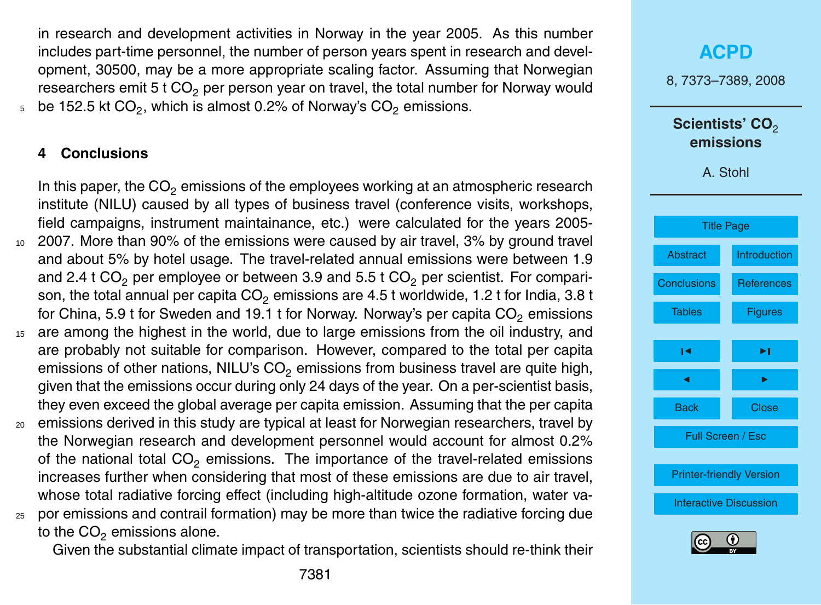<span id="page-9-0"></span>in research and development activities in Norway in the year 2005. As this number includes part-time personnel, the number of person years spent in research and development, 30500, may be a more appropriate scaling factor. Assuming that Norwegian researchers emit 5 t  $CO<sub>2</sub>$  per person year on travel, the total number for Norway would  $_{5}$   $\,$  be 152.5 kt CO $_{2}$ , which is almost 0.2% of Norway's CO $_{2}$  emissions.

## **4 Conclusions**

In this paper, the  $CO<sub>2</sub>$  emissions of the employees working at an atmospheric research institute (NILU) caused by all types of business travel (conference visits, workshops, field campaigns, instrument maintainance, etc.) were calculated for the years 2005- <sup>10</sup> 2007. More than 90% of the emissions were caused by air travel, 3% by ground travel and about 5% by hotel usage. The travel-related annual emissions were between 1.9 and 2.4 t  $CO<sub>2</sub>$  per employee or between 3.9 and 5.5 t  $CO<sub>2</sub>$  per scientist. For comparison, the total annual per capita  $CO<sub>2</sub>$  emissions are 4.5 t worldwide, 1.2 t for India, 3.8 t for China, 5.9 t for Sweden and 19.1 t for Norway. Norway's per capita  $CO<sub>2</sub>$  emissions <sup>15</sup> are among the highest in the world, due to large emissions from the oil industry, and

- are probably not suitable for comparison. However, compared to the total per capita emissions of other nations, NILU's  $CO<sub>2</sub>$  emissions from business travel are quite high, given that the emissions occur during only 24 days of the year. On a per-scientist basis, they even exceed the global average per capita emission. Assuming that the per capita
- <sup>20</sup> emissions derived in this study are typical at least for Norwegian researchers, travel by the Norwegian research and development personnel would account for almost 0.2% of the national total  $CO<sub>2</sub>$  emissions. The importance of the travel-related emissions increases further when considering that most of these emissions are due to air travel, whose total radiative forcing effect (including high-altitude ozone formation, water va-
- <sup>25</sup> por emissions and contrail formation) may be more than twice the radiative forcing due to the  $CO<sub>2</sub>$  emissions alone.

Given the substantial climate impact of transportation, scientists should re-think their

# **[ACPD](http://www.atmos-chem-phys-discuss.net)** 8, 7373–7389, 2008 Scientists' CO<sub>2</sub> **emissions** A. Stohl [Title Page](#page-1-0) [Abstract](#page-2-0) [Introduction](#page-2-0) Conclusions [References](#page-10-0) [Tables](#page-12-0) **[Figures](#page-17-0)** [◭](#page-1-0) [◮](#page-17-0) [◭](#page-8-0) [◮](#page-10-0) Back Close Full Screen / Esc [Printer-friendly Version](http://www.atmos-chem-phys-discuss.net/8/7373/2008/acpd-8-7373-2008-print.pdf) [Interactive Discussion](http://www.atmos-chem-phys-discuss.net/8/7373/2008/acpd-8-7373-2008-discussion.html)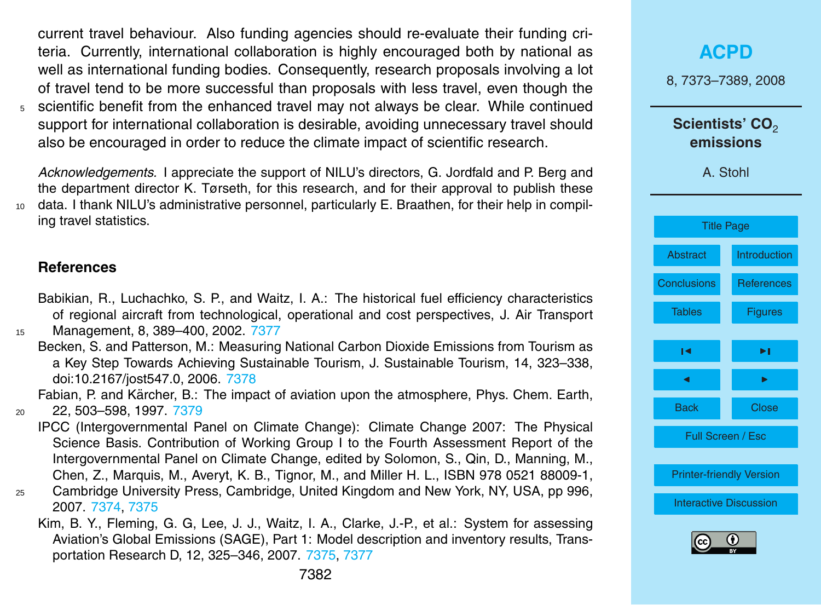<span id="page-10-0"></span>current travel behaviour. Also funding agencies should re-evaluate their funding criteria. Currently, international collaboration is highly encouraged both by national as well as international funding bodies. Consequently, research proposals involving a lot of travel tend to be more successful than proposals with less travel, even though the <sup>5</sup> scientific benefit from the enhanced travel may not always be clear. While continued support for international collaboration is desirable, avoiding unnecessary travel should also be encouraged in order to reduce the climate impact of scientific research.

*Acknowledgements.* I appreciate the support of NILU's directors, G. Jordfald and P. Berg and the department director K. Tørseth, for this research, and for their approval to publish these <sup>10</sup> data. I thank NILU's administrative personnel, particularly E. Braathen, for their help in compiling travel statistics.

#### **References**

Babikian, R., Luchachko, S. P., and Waitz, I. A.: The historical fuel efficiency characteristics of regional aircraft from technological, operational and cost perspectives, J. Air Transport

<sup>15</sup> Management, 8, 389–400, 2002. [7377](#page-5-0)

Becken, S. and Patterson, M.: Measuring National Carbon Dioxide Emissions from Tourism as a Key Step Towards Achieving Sustainable Tourism, J. Sustainable Tourism, 14, 323–338, doi:10.2167/jost547.0, 2006. [7378](#page-6-0)

Fabian, P. and Kärcher, B.: The impact of aviation upon the atmosphere, Phys. Chem. Earth, <sup>20</sup> 22, 503–598, 1997. [7379](#page-7-0)

- IPCC (Intergovernmental Panel on Climate Change): Climate Change 2007: The Physical Science Basis. Contribution of Working Group I to the Fourth Assessment Report of the Intergovernmental Panel on Climate Change, edited by Solomon, S., Qin, D., Manning, M., Chen, Z., Marquis, M., Averyt, K. B., Tignor, M., and Miller H. L., ISBN 978 0521 88009-1,
- <sup>25</sup> Cambridge University Press, Cambridge, United Kingdom and New York, NY, USA, pp 996, 2007. [7374,](#page-2-0) [7375](#page-3-0)
	- Kim, B. Y., Fleming, G. G, Lee, J. J., Waitz, I. A., Clarke, J.-P., et al.: System for assessing Aviation's Global Emissions (SAGE), Part 1: Model description and inventory results, Transportation Research D, 12, 325–346, 2007. [7375,](#page-3-0) [7377](#page-5-0)

|                    | <b>ACPD</b>                                          |  |  |  |
|--------------------|------------------------------------------------------|--|--|--|
|                    | 8, 7373-7389, 2008                                   |  |  |  |
|                    | Scientists' CO <sub>2</sub><br>emissions<br>A. Stohl |  |  |  |
|                    |                                                      |  |  |  |
|                    | <b>Title Page</b>                                    |  |  |  |
| <b>Abstract</b>    | <b>Introduction</b>                                  |  |  |  |
| <b>Conclusions</b> | <b>References</b>                                    |  |  |  |
| <b>Tables</b>      | <b>Figures</b>                                       |  |  |  |
| ١٩                 | ►∣                                                   |  |  |  |
| ◀                  | ь                                                    |  |  |  |
| <b>Back</b>        | <b>Close</b>                                         |  |  |  |
|                    | Full Screen / Esc                                    |  |  |  |
|                    | <b>Printer-friendly Version</b>                      |  |  |  |
|                    | <b>Interactive Discussion</b>                        |  |  |  |
| $\sqrt{cc}$        | (†)                                                  |  |  |  |

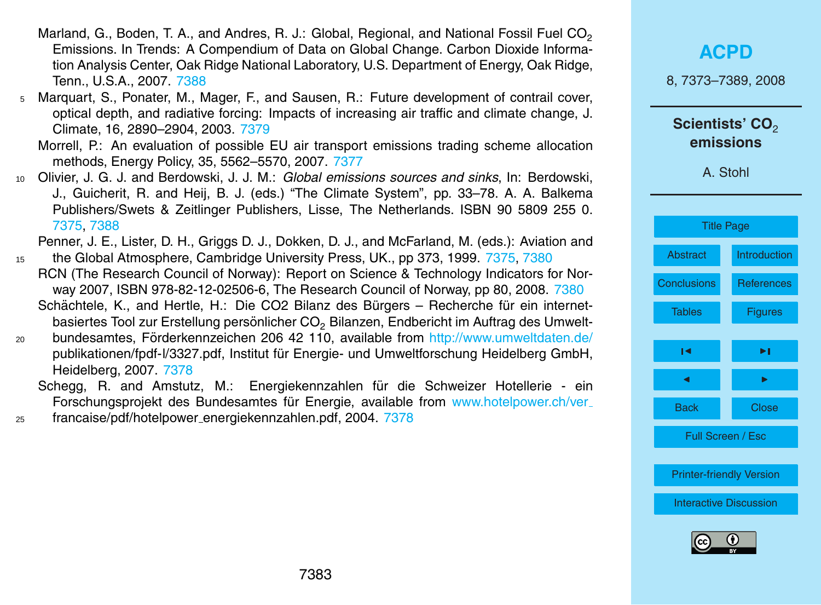- <span id="page-11-0"></span>Marland, G., Boden, T. A., and Andres, R. J.: Global, Regional, and National Fossil Fuel  $CO<sub>2</sub>$ Emissions. In Trends: A Compendium of Data on Global Change. Carbon Dioxide Information Analysis Center, Oak Ridge National Laboratory, U.S. Department of Energy, Oak Ridge, Tenn., U.S.A., 2007. [7388](#page-16-0)
- <sup>5</sup> Marquart, S., Ponater, M., Mager, F., and Sausen, R.: Future development of contrail cover, optical depth, and radiative forcing: Impacts of increasing air traffic and climate change, J. Climate, 16, 2890–2904, 2003. [7379](#page-7-0)

Morrell, P.: An evaluation of possible EU air transport emissions trading scheme allocation methods, Energy Policy, 35, 5562–5570, 2007. [7377](#page-5-0)

<sup>10</sup> Olivier, J. G. J. and Berdowski, J. J. M.: *Global emissions sources and sinks*, In: Berdowski, J., Guicherit, R. and Heij, B. J. (eds.) "The Climate System", pp. 33–78. A. A. Balkema Publishers/Swets & Zeitlinger Publishers, Lisse, The Netherlands. ISBN 90 5809 255 0. [7375,](#page-3-0) [7388](#page-16-0)

Penner, J. E., Lister, D. H., Griggs D. J., Dokken, D. J., and McFarland, M. (eds.): Aviation and

- <sup>15</sup> the Global Atmosphere, Cambridge University Press, UK., pp 373, 1999. [7375,](#page-3-0) [7380](#page-8-0) RCN (The Research Council of Norway): Report on Science & Technology Indicators for Norway 2007, ISBN 978-82-12-02506-6, The Research Council of Norway, pp 80, 2008. [7380](#page-8-0) Schächtele, K., and Hertle, H.: Die CO2 Bilanz des Bürgers – Recherche für ein internetbasiertes Tool zur Erstellung persönlicher CO<sub>2</sub> Bilanzen, Endbericht im Auftrag des Umwelt-
- $20$  bundesamtes, Förderkennzeichen 206 42 110, available from [http://www.umweltdaten.de/](http://www.umweltdaten.de/publikationen/fpdf-l/3327.pdf) [publikationen/fpdf-l/3327.pdf,](http://www.umweltdaten.de/publikationen/fpdf-l/3327.pdf) Institut fur Energie- und Umweltforschung Heidelberg GmbH, ¨ Heidelberg, 2007. [7378](#page-6-0)
	- Schegg, R. and Amstutz, M.: Energiekennzahlen für die Schweizer Hotellerie ein Forschungsprojekt des Bundesamtes für Energie, available from [www.hotelpower.ch/ver](www.hotelpower.ch/ver_francaise/pdf/hotelpower_energiekennzahlen.pdf)\_
- <sup>25</sup> [francaise/pdf/hotelpower](www.hotelpower.ch/ver_francaise/pdf/hotelpower_energiekennzahlen.pdf) energiekennzahlen.pdf, 2004. [7378](#page-6-0)

| <b>ACPD</b><br>8, 7373-7389, 2008                    |                               |  |  |
|------------------------------------------------------|-------------------------------|--|--|
| Scientists' CO <sub>2</sub><br>emissions<br>A. Stohl |                               |  |  |
|                                                      | <b>Title Page</b>             |  |  |
| <b>Abstract</b>                                      | Introduction                  |  |  |
| <b>Conclusions</b>                                   | References                    |  |  |
| <b>Tables</b>                                        | <b>Figures</b>                |  |  |
| ıч                                                   | ►∣                            |  |  |
|                                                      |                               |  |  |
| <b>Back</b>                                          | <b>Close</b>                  |  |  |
| Full Screen / Esc                                    |                               |  |  |
| <b>Printer-friendly Version</b>                      |                               |  |  |
|                                                      | <b>Interactive Discussion</b> |  |  |
|                                                      | G                             |  |  |

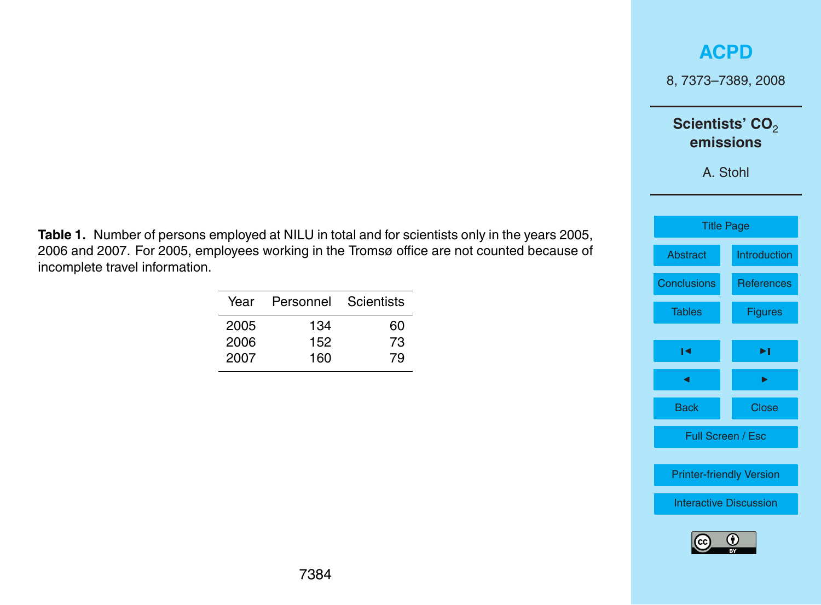8, 7373–7389, 2008

## Scientists' CO<sub>2</sub> **emissions**

A. Stohl



<span id="page-12-0"></span>**Table 1.** Number of persons employed at NILU in total and for scientists only in the years 2005, 2006 and 2007. For 2005, employees working in the Tromsø office are not counted because of incomplete travel information.

| Year | Personnel | Scientists |
|------|-----------|------------|
| 2005 | 134       | 60         |
| 2006 | 152       | 73         |
| 2007 | 160       | 79         |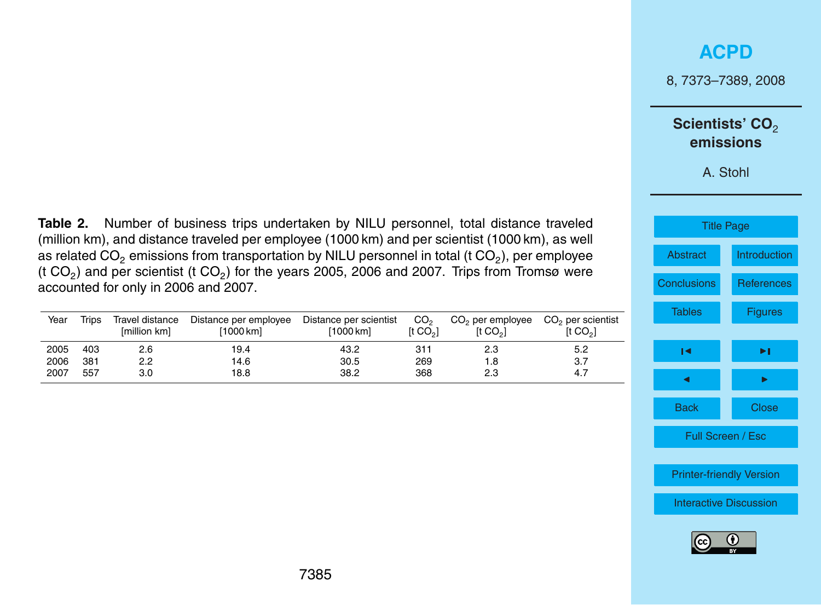8, 7373–7389, 2008

### Scientists' CO<sub>2</sub> **emissions**

A. Stohl

| <b>Title Page</b>               |                     |  |  |  |
|---------------------------------|---------------------|--|--|--|
| Abstract                        | <b>Introduction</b> |  |  |  |
| <b>Conclusions</b>              | <b>References</b>   |  |  |  |
| <b>Tables</b>                   | <b>Figures</b>      |  |  |  |
|                                 |                     |  |  |  |
| ы                               | ы                   |  |  |  |
|                                 | ь                   |  |  |  |
| <b>Back</b>                     | <b>Close</b>        |  |  |  |
| Full Screen / Esc               |                     |  |  |  |
|                                 |                     |  |  |  |
| <b>Printer-friendly Version</b> |                     |  |  |  |
| <b>Interactive Discussion</b>   |                     |  |  |  |
|                                 |                     |  |  |  |



<span id="page-13-0"></span>**Table 2.** Number of business trips undertaken by NILU personnel, total distance traveled (million km), and distance traveled per employee (1000 km) and per scientist (1000 km), as well as related CO $_2$  emissions from transportation by NILU personnel in total (t CO $_2$ ), per employee (t CO<sub>2</sub>) and per scientist (t CO<sub>2</sub>) for the years 2005, 2006 and 2007. Trips from Tromsø were accounted for only in 2006 and 2007.

| Year | Trips | Travel distance<br>[million km] | Distance per employee<br>[1000 km] | Distance per scientist<br>[1000 km] | CO <sub>2</sub><br>It CO <sub>2</sub> 1 | $CO2$ per employee<br>It CO <sub>2</sub> | CO <sub>2</sub> per scientist<br>[t CO <sub>2</sub> ] |
|------|-------|---------------------------------|------------------------------------|-------------------------------------|-----------------------------------------|------------------------------------------|-------------------------------------------------------|
| 2005 | 403   | 2.6                             | 19.4                               | 43.2                                | 311                                     | 2.3                                      | 5.2                                                   |
| 2006 | 381   | 2.2                             | 14.6                               | 30.5                                | 269                                     | 1.8                                      | 3.7                                                   |
| 2007 | 557   | 3.0                             | 18.8                               | 38.2                                | 368                                     | 2.3                                      | 4.7                                                   |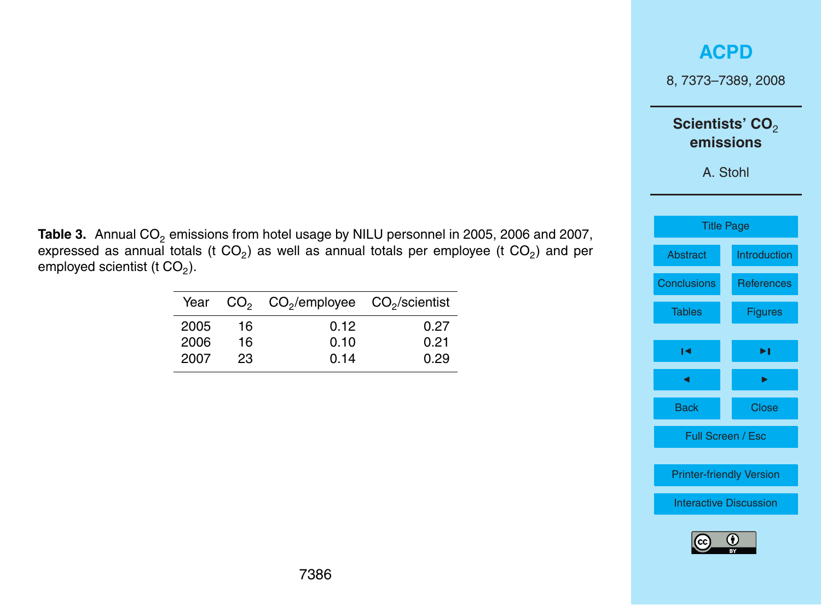8, 7373–7389, 2008

## Scientists' CO<sub>2</sub> **emissions**

A. Stohl

| <b>Title Page</b>               |                     |  |  |  |
|---------------------------------|---------------------|--|--|--|
| Abstract                        | <b>Introduction</b> |  |  |  |
| <b>Conclusions</b>              | <b>References</b>   |  |  |  |
| <b>Tables</b>                   | <b>Figures</b>      |  |  |  |
|                                 |                     |  |  |  |
| ы                               | ы                   |  |  |  |
| ◀                               | ▶                   |  |  |  |
| <b>Back</b>                     | Close               |  |  |  |
| Full Screen / Esc               |                     |  |  |  |
| <b>Printer-friendly Version</b> |                     |  |  |  |
| <b>Interactive Discussion</b>   |                     |  |  |  |
|                                 |                     |  |  |  |



<span id="page-14-0"></span>

|                                          | Table 3. Annual CO <sub>2</sub> emissions from hotel usage by NILU personnel in 2005, 2006 and 2007,               |  |  |  |  |
|------------------------------------------|--------------------------------------------------------------------------------------------------------------------|--|--|--|--|
|                                          | expressed as annual totals (t CO <sub>2</sub> ) as well as annual totals per employee (t CO <sub>2</sub> ) and per |  |  |  |  |
| employed scientist (t CO <sub>2</sub> ). |                                                                                                                    |  |  |  |  |

|      |     | Year $CO2 CO2/employee CO2/scientist$ |      |
|------|-----|---------------------------------------|------|
| 2005 | 16. | 0.12                                  | 0.27 |
| 2006 | 16  | 0.10                                  | 0.21 |
| 2007 | 23  | 0.14                                  | 0.29 |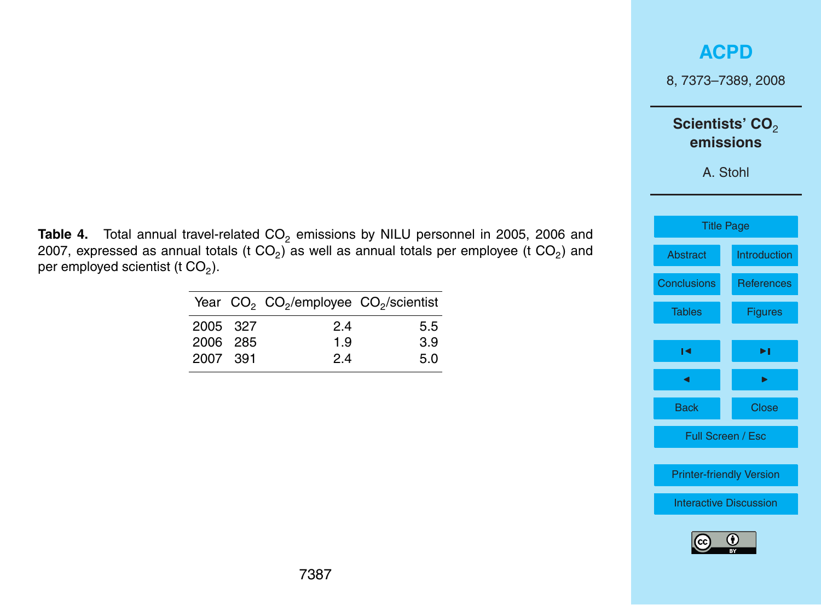8, 7373–7389, 2008

## Scientists' CO<sub>2</sub> **emissions**

A. Stohl

| <b>Title Page</b>               |                     |  |  |  |
|---------------------------------|---------------------|--|--|--|
| Abstract                        | <b>Introduction</b> |  |  |  |
| <b>Conclusions</b>              | <b>References</b>   |  |  |  |
| <b>Tables</b>                   | <b>Figures</b>      |  |  |  |
|                                 |                     |  |  |  |
| м                               | ►∣                  |  |  |  |
| ◀                               | ь                   |  |  |  |
| <b>Back</b>                     | Close               |  |  |  |
| Full Screen / Esc               |                     |  |  |  |
|                                 |                     |  |  |  |
| <b>Printer-friendly Version</b> |                     |  |  |  |
| <b>Interactive Discussion</b>   |                     |  |  |  |
|                                 |                     |  |  |  |



<span id="page-15-0"></span>Table 4. Total annual travel-related CO<sub>2</sub> emissions by NILU personnel in 2005, 2006 and 2007, expressed as annual totals (t CO<sub>2</sub>) as well as annual totals per employee (t CO<sub>2</sub>) and per employed scientist (t CO $_2$ ).

|          | Year CO <sub>2</sub> CO <sub>2</sub> /employee CO <sub>2</sub> /scientist |     |
|----------|---------------------------------------------------------------------------|-----|
| 2005 327 | 24                                                                        | 5.5 |
| 2006 285 | 1.9                                                                       | 3.9 |
| 2007 391 | 24                                                                        | 5.0 |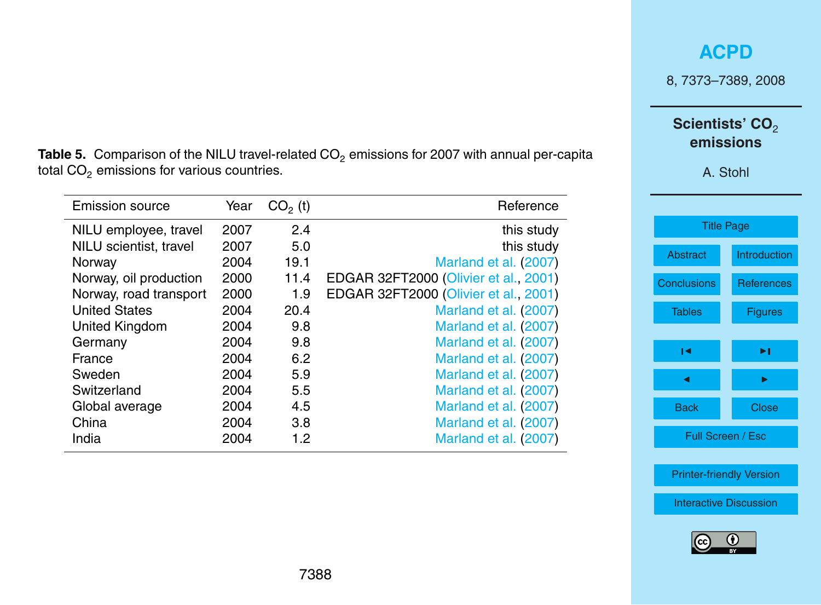8, 7373–7389, 2008

## Scientists' CO<sub>2</sub> **emissions**

A. Stohl

| <b>Title Page</b>               |                   |  |  |  |  |
|---------------------------------|-------------------|--|--|--|--|
| <b>Abstract</b>                 | Introduction      |  |  |  |  |
| <b>Conclusions</b>              | <b>References</b> |  |  |  |  |
| <b>Tables</b>                   | <b>Figures</b>    |  |  |  |  |
| ы                               | ы                 |  |  |  |  |
|                                 |                   |  |  |  |  |
|                                 |                   |  |  |  |  |
| <b>Back</b><br>Close            |                   |  |  |  |  |
| Full Screen / Esc               |                   |  |  |  |  |
|                                 |                   |  |  |  |  |
| <b>Printer-friendly Version</b> |                   |  |  |  |  |
| <b>Interactive Discussion</b>   |                   |  |  |  |  |
|                                 |                   |  |  |  |  |



<span id="page-16-0"></span>Table 5. Comparison of the NILU travel-related CO<sub>2</sub> emissions for 2007 with annual per-capita total  $CO<sub>2</sub>$  emissions for various countries.

| Emission source        | Year | $CO2$ (t) | Reference                             |
|------------------------|------|-----------|---------------------------------------|
| NILU employee, travel  | 2007 | 2.4       | this study                            |
| NILU scientist, travel | 2007 | 5.0       | this study                            |
| Norway                 | 2004 | 19.1      | Marland et al. (2007)                 |
| Norway, oil production | 2000 | 11.4      | EDGAR 32FT2000 (Olivier et al., 2001) |
| Norway, road transport | 2000 | 1.9       | EDGAR 32FT2000 (Olivier et al., 2001) |
| <b>United States</b>   | 2004 | 20.4      | Marland et al. (2007)                 |
| United Kingdom         | 2004 | 9.8       | Marland et al. (2007)                 |
| Germany                | 2004 | 9.8       | Marland et al. (2007)                 |
| France                 | 2004 | 6.2       | Marland et al. (2007)                 |
| Sweden                 | 2004 | 5.9       | Marland et al. (2007)                 |
| Switzerland            | 2004 | 5.5       | Marland et al. (2007)                 |
| Global average         | 2004 | 4.5       | Marland et al. (2007)                 |
| China                  | 2004 | 3.8       | Marland et al. (2007)                 |
| India                  | 2004 | 1.2       | Marland et al. (2007)                 |